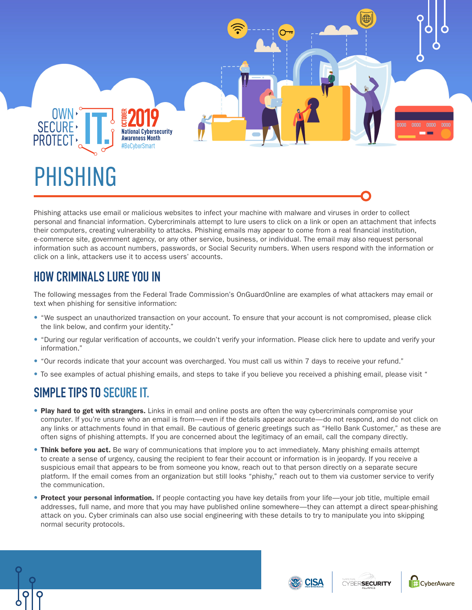

## PHISHING

Phishing attacks use email or malicious websites to infect your machine with malware and viruses in order to collect personal and financial information. Cybercriminals attempt to lure users to click on a link or open an attachment that infects their computers, creating vulnerability to attacks. Phishing emails may appear to come from a real financial institution, e-commerce site, government agency, or any other service, business, or individual. The email may also request personal information such as account numbers, passwords, or Social Security numbers. When users respond with the information or click on a link, attackers use it to access users' accounts.

## **HOW CRIMINALS LURE YOU IN**

The following messages from the Federal Trade Commission's OnGuardOnline are examples of what attackers may email or text when phishing for sensitive information:

- "We suspect an unauthorized transaction on your account. To ensure that your account is not compromised, please click the link below, and confirm your identity."
- "During our regular verification of accounts, we couldn't verify your information. Please click here to update and verify your information."
- "Our records indicate that your account was overcharged. You must call us within 7 days to receive your refund."
- To see examples of actual phishing emails, and steps to take if you believe you received a phishing email, please visit "

## **SIMPLE TIPS TO SECURE IT.**

- Play hard to get with strangers. Links in email and online posts are often the way cybercriminals compromise your computer. If you're unsure who an email is from—even if the details appear accurate—do not respond, and do not click on any links or attachments found in that email. Be cautious of generic greetings such as "Hello Bank Customer," as these are often signs of phishing attempts. If you are concerned about the legitimacy of an email, call the company directly.
- Think before you act. Be wary of communications that implore you to act immediately. Many phishing emails attempt to create a sense of urgency, causing the recipient to fear their account or information is in jeopardy. If you receive a suspicious email that appears to be from someone you know, reach out to that person directly on a separate secure platform. If the email comes from an organization but still looks "phishy," reach out to them via customer service to verify the communication.
- Protect your personal information. If people contacting you have key details from your life—your job title, multiple email addresses, full name, and more that you may have published online somewhere—they can attempt a direct spear-phishing attack on you. Cyber criminals can also use social engineering with these details to try to manipulate you into skipping normal security protocols.